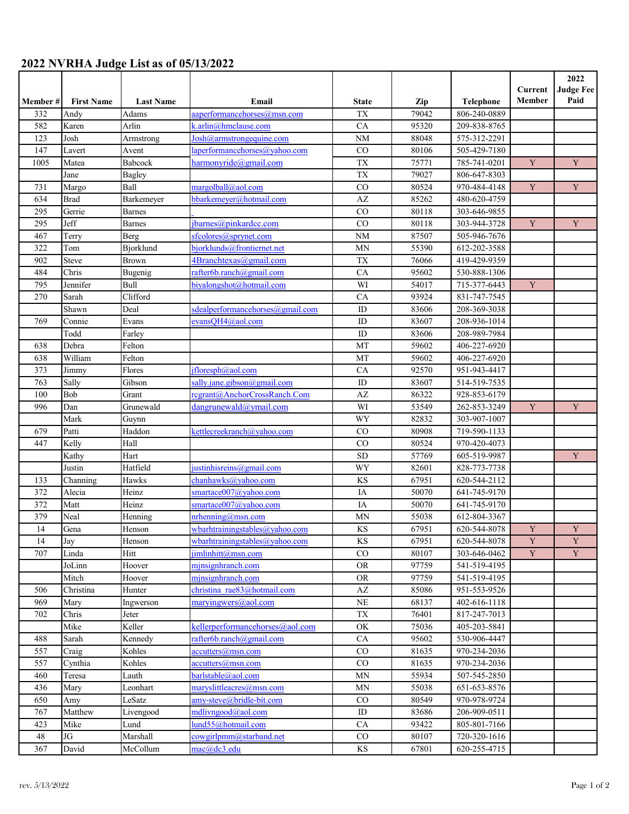## **2022 NVRHA Judge List as of 05/13/2022**

|         |                   |                              |                                  |              |       |                  | Current     | 2022<br><b>Judge Fee</b> |
|---------|-------------------|------------------------------|----------------------------------|--------------|-------|------------------|-------------|--------------------------|
| Member# | <b>First Name</b> | <b>Last Name</b>             | Email                            | <b>State</b> | Zip   | <b>Telephone</b> | Member      | Paid                     |
| 332     | Andy              | Adams                        | aaperformancehorses@msn.com      | <b>TX</b>    | 79042 | 806-240-0889     |             |                          |
| 582     | Karen             | Arlin                        | k.arlin@hmclause.com             | CA           | 95320 | 209-838-8765     |             |                          |
| 123     | Josh              | Armstrong                    | Josh@armstrongequine.com         | <b>NM</b>    | 88048 | 575-312-2291     |             |                          |
| 147     | Lavert            | Avent                        | laperformancehorses@yahoo.com    | CO           | 80106 | 505-429-7180     |             |                          |
| 1005    | Matea             | Babcock                      | harmonyride@gmail.com            | <b>TX</b>    | 75771 | 785-741-0201     | $\mathbf Y$ | Y                        |
|         | Jane              | <b>Bagley</b>                |                                  | <b>TX</b>    | 79027 | 806-647-8303     |             |                          |
| 731     | Margo             | Ball                         | margolball@aol.com               | CO           | 80524 | 970-484-4148     | $\mathbf Y$ | Y                        |
| 634     | <b>Brad</b>       | Barkemeyer                   | bbarkemeyer@hotmail.com          | AZ           | 85262 | 480-620-4759     |             |                          |
| 295     | Gerrie            | <b>Barnes</b>                |                                  | CO           | 80118 | 303-646-9855     |             |                          |
| 295     | Jeff              | <b>Barnes</b>                | jbarnes@pinkardcc.com            | CO           | 80118 | 303-944-3728     | $\mathbf Y$ | $\mathbf Y$              |
| 467     | Terry             | Berg                         | sfcolores@sprynet.com            | <b>NM</b>    | 87507 | 505-946-7676     |             |                          |
| 322     | Tom               | Bjorklund                    | bjorklunds@frontiernet.net       | MN           | 55390 | 612-202-3588     |             |                          |
| 902     | Steve             | Brown                        | 4Branchtexas@gmail.com           | <b>TX</b>    | 76066 | 419-429-9359     |             |                          |
| 484     | Chris             | Bugenig                      | rafter6b.ranch@gmail.com         | CA           | 95602 | 530-888-1306     |             |                          |
| 795     | Jennifer          | Bull                         | biyalongshot@hotmail.com         | WI           | 54017 | 715-377-6443     | $\mathbf Y$ |                          |
| 270     | Sarah             | $\overline{\text{Clifford}}$ |                                  | CA           | 93924 | 831-747-7545     |             |                          |
|         | Shawn             | Deal                         | sdealperformancehorses@gmail.com | ID           | 83606 | 208-369-3038     |             |                          |
| 769     | Connie            | Evans                        | evansQH4@aol.com                 | ID           | 83607 | 208-936-1014     |             |                          |
|         | Todd              | Farley                       |                                  | ID           | 83606 | 208-989-7984     |             |                          |
| 638     | Debra             | Felton                       |                                  | MT           | 59602 | 406-227-6920     |             |                          |
| 638     | William           | Felton                       |                                  | MT           | 59602 | 406-227-6920     |             |                          |
| 373     | Jimmy             | Flores                       | ifloresph@aol.com                | CA           | 92570 | 951-943-4417     |             |                          |
| 763     | Sally             | Gibson                       | sally.jane.gibson@gmail.com      | $\rm ID$     | 83607 | 514-519-7535     |             |                          |
| 100     | Bob               | Grant                        | regrant@AnchorCrossRanch.Com     | AZ           | 86322 | 928-853-6179     |             |                          |
| 996     | Dan               | Grunewald                    | dangrunewald@ymail.com           | WI           | 53549 | 262-853-3249     | $\mathbf Y$ | Y                        |
|         | Mark              | Guynn                        |                                  | WY           | 82832 | 303-907-1007     |             |                          |
| 679     | Patti             | Haddon                       | kettlecreekranch@yahoo.com       | CO           | 80908 | 719-590-1133     |             |                          |
| 447     | Kelly             | Hall                         |                                  | CO           | 80524 | 970-420-4073     |             |                          |
|         | Kathy             | Hart                         |                                  | <b>SD</b>    | 57769 | 605-519-9987     |             | Y                        |
|         | Justin            | Hatfield                     | justinhisreins@gmail.com         | WY           | 82601 | 828-773-7738     |             |                          |
| 133     | Channing          | Hawks                        | chanhawks@vahoo.com              | <b>KS</b>    | 67951 | 620-544-2112     |             |                          |
| 372     | Alecia            | Heinz                        | smartace007@yahoo.com            | IA           | 50070 | 641-745-9170     |             |                          |
| 372     | Matt              | Heinz                        | smartace007@yahoo.com            | IA           | 50070 | 641-745-9170     |             |                          |
| 379     | Neal              | Henning                      | nrhenning@msn.com                | MN           | 55038 | 612-804-3367     |             |                          |
| 14      | Gena              | Henson                       | wbarhtrainingstables@yahoo.com   | KS           | 67951 | 620-544-8078     | Y           | Y                        |
| 14      | Jay               | Henson                       | wbarhtrainingstables@yahoo.com   | KS           | 67951 | 620-544-8078     | $\mathbf Y$ | $\mathbf Y$              |
| 707     | Linda             | Hitt                         | $\lim\limits_{\text{limit}}$     | $_{\rm CO}$  | 80107 | 303-646-0462     | $\mathbf Y$ | $\mathbf Y$              |
|         | JoLinn            | Hoover                       | minsignhranch.com                | <b>OR</b>    | 97759 | 541-519-4195     |             |                          |
|         | Mitch             | Hoover                       | minsignhranch.com                | <b>OR</b>    | 97759 | 541-519-4195     |             |                          |
| 506     | Christina         | Hunter                       | christina rae83@hotmail.com      | AZ           | 85086 | 951-553-9526     |             |                          |
| 969     | Mary              | Ingwerson                    | maryingwers@aol.com              | $\rm NE$     | 68137 | 402-616-1118     |             |                          |
| 702     | Chris             | Jeter                        |                                  | TX           | 76401 | 817-247-7013     |             |                          |
|         | Mike              | Keller                       | kellerperformancehorses@aol.com  | OK           | 75036 | 405-203-5841     |             |                          |
| 488     | Sarah             | Kennedy                      | rafter6b.ranch@gmail.com         | CA           | 95602 | 530-906-4447     |             |                          |
| 557     | Craig             | Kohles                       | accutters@msn.com                | CO           | 81635 | 970-234-2036     |             |                          |
| 557     | Cynthia           | Kohles                       | $accutters(\hat{a})$ msn.com     | CO           | 81635 | 970-234-2036     |             |                          |
| 460     | Teresa            | Lauth                        | barlstable@aol.com               | <b>MN</b>    | 55934 | 507-545-2850     |             |                          |
| 436     | Mary              | Leonhart                     | maryslittleacres@msn.com         | MN           | 55038 | 651-653-8576     |             |                          |
| 650     | Amy               | LeSatz                       | amy-steve@bridle-bit.com         | CO           | 80549 | 970-978-9724     |             |                          |
| 767     | Matthew           | Livengood                    | mdlivngood@aol.com               | ID           | 83686 | 206-909-0511     |             |                          |
| 423     | Mike              | Lund                         | lund55@hotmail.com               | CA           | 93422 | 805-801-7166     |             |                          |
| 48      | JG                | Marshall                     | cowgirlpmm@starband.net          | CO           | 80107 | 720-320-1616     |             |                          |
| 367     | David             | McCollum                     | mac@dc3.edu                      | KS           | 67801 | 620-255-4715     |             |                          |
|         |                   |                              |                                  |              |       |                  |             |                          |